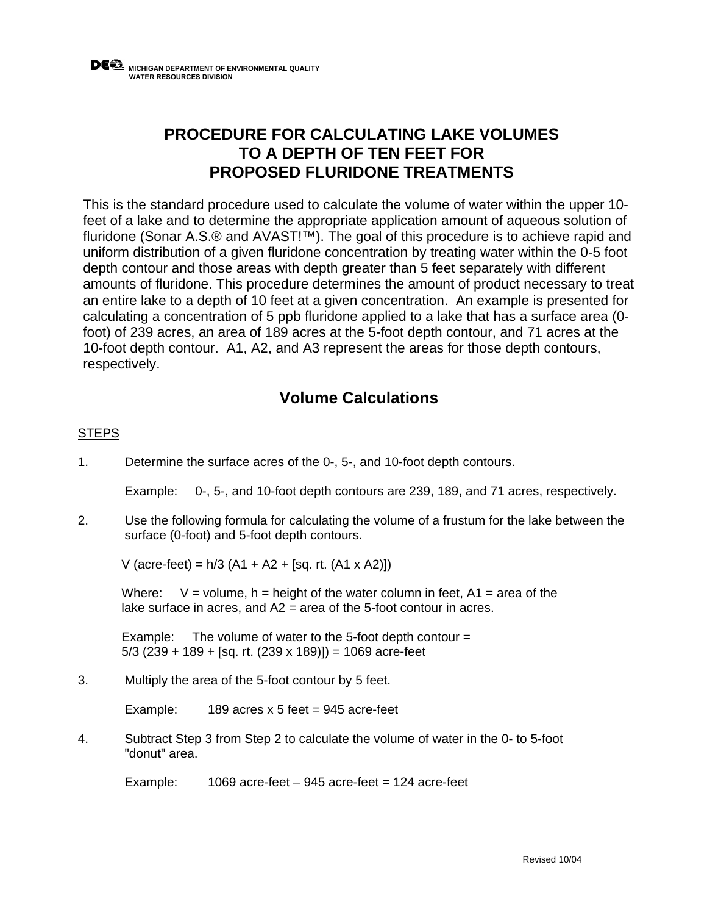## **PROCEDURE FOR CALCULATING LAKE VOLUMES TO A DEPTH OF TEN FEET FOR PROPOSED FLURIDONE TREATMENTS**

This is the standard procedure used to calculate the volume of water within the upper 10 feet of a lake and to determine the appropriate application amount of aqueous solution of fluridone (Sonar A.S.® and AVAST!™). The goal of this procedure is to achieve rapid and uniform distribution of a given fluridone concentration by treating water within the 0-5 foot depth contour and those areas with depth greater than 5 feet separately with different amounts of fluridone. This procedure determines the amount of product necessary to treat an entire lake to a depth of 10 feet at a given concentration. An example is presented for calculating a concentration of 5 ppb fluridone applied to a lake that has a surface area (0 foot) of 239 acres, an area of 189 acres at the 5-foot depth contour, and 71 acres at the 10-foot depth contour. A1, A2, and A3 represent the areas for those depth contours, respectively.

## **Volume Calculations**

## **STEPS**

1. Determine the surface acres of the 0-, 5-, and 10-foot depth contours.

Example: 0-, 5-, and 10-foot depth contours are 239, 189, and 71 acres, respectively.

2. Use the following formula for calculating the volume of a frustum for the lake between the surface (0-foot) and 5-foot depth contours.

V (acre-feet) = h/3 (A1 + A2 + [sq. rt. (A1 x A2)])

Where:  $V =$  volume, h = height of the water column in feet,  $A1 =$  area of the lake surface in acres, and A2 = area of the 5-foot contour in acres.

Example: The volume of water to the 5-foot depth contour  $=$  $5/3$  (239 + 189 + [sq. rt. (239 x 189)]) = 1069 acre-feet

3. Multiply the area of the 5-foot contour by 5 feet.

Example:  $189$  acres x 5 feet = 945 acre-feet

4. Subtract Step 3 from Step 2 to calculate the volume of water in the 0- to 5-foot "donut" area.

Example: 1069 acre-feet – 945 acre-feet = 124 acre-feet